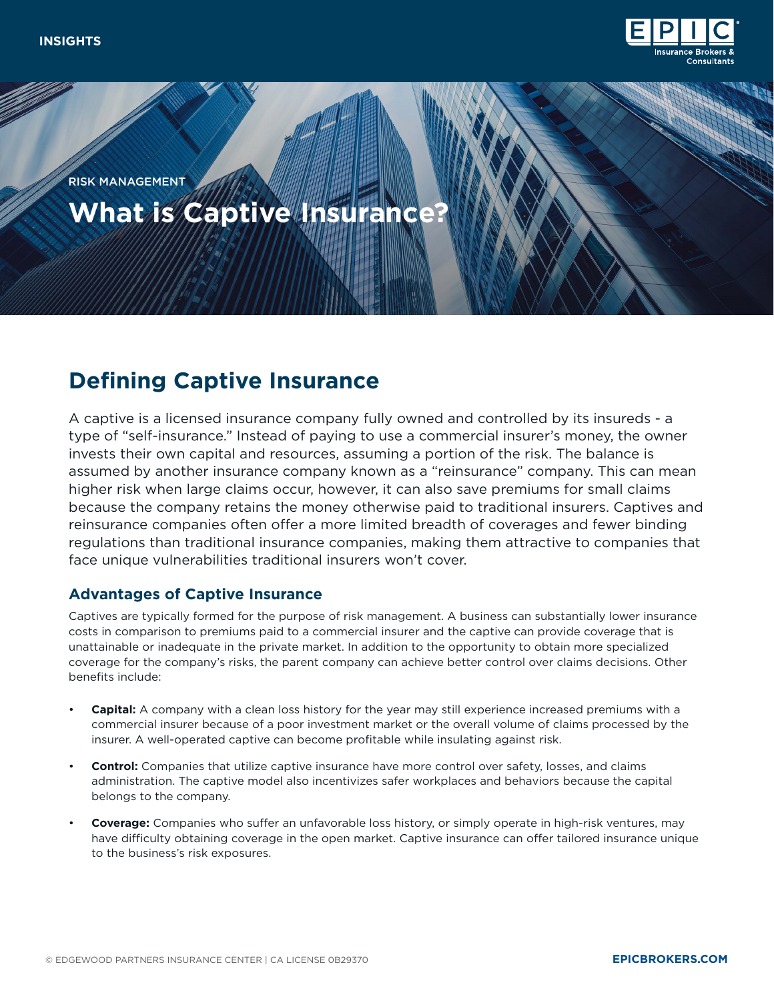

**What is Captive Insurance?** RISK MANAGEMENT

# **Defining Captive Insurance**

A captive is a licensed insurance company fully owned and controlled by its insureds - a type of "self-insurance." Instead of paying to use a commercial insurer's money, the owner invests their own capital and resources, assuming a portion of the risk. The balance is assumed by another insurance company known as a "reinsurance" company. This can mean higher risk when large claims occur, however, it can also save premiums for small claims because the company retains the money otherwise paid to traditional insurers. Captives and reinsurance companies often offer a more limited breadth of coverages and fewer binding regulations than traditional insurance companies, making them attractive to companies that face unique vulnerabilities traditional insurers won't cover.

## **Advantages of Captive Insurance**

Captives are typically formed for the purpose of risk management. A business can substantially lower insurance costs in comparison to premiums paid to a commercial insurer and the captive can provide coverage that is unattainable or inadequate in the private market. In addition to the opportunity to obtain more specialized coverage for the company's risks, the parent company can achieve better control over claims decisions. Other benefits include:

- **Capital:** A company with a clean loss history for the year may still experience increased premiums with a commercial insurer because of a poor investment market or the overall volume of claims processed by the insurer. A well-operated captive can become profitable while insulating against risk.
- **Control:** Companies that utilize captive insurance have more control over safety, losses, and claims administration. The captive model also incentivizes safer workplaces and behaviors because the capital belongs to the company.
- **Coverage:** Companies who suffer an unfavorable loss history, or simply operate in high-risk ventures, may have difficulty obtaining coverage in the open market. Captive insurance can offer tailored insurance unique to the business's risk exposures.